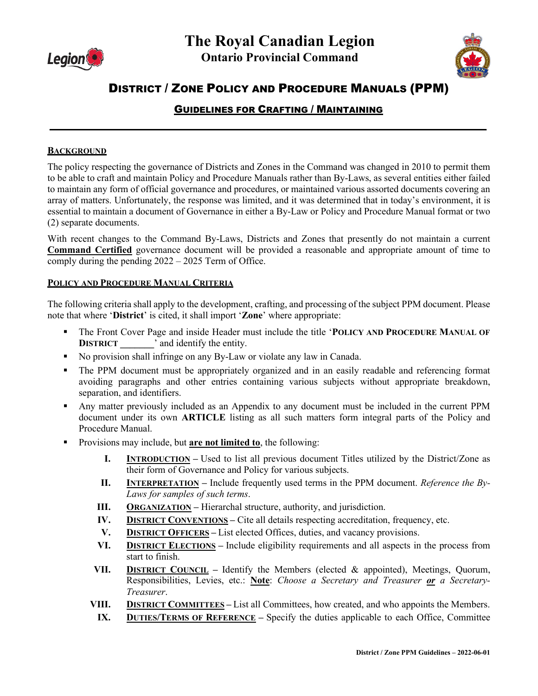



# DISTRICT / ZONE POLICY AND PROCEDURE MANUALS (PPM)

# GUIDELINES FOR CRAFTING / MAINTAINING

**\_\_\_\_\_\_\_\_\_\_\_\_\_\_\_\_\_\_\_\_\_\_\_\_\_\_\_\_\_\_\_\_\_\_\_\_\_\_\_\_\_\_\_\_\_\_\_\_\_\_\_\_\_\_\_\_\_\_\_\_\_\_\_\_\_\_\_\_\_\_\_**

#### **BACKGROUND**

The policy respecting the governance of Districts and Zones in the Command was changed in 2010 to permit them to be able to craft and maintain Policy and Procedure Manuals rather than By-Laws, as several entities either failed to maintain any form of official governance and procedures, or maintained various assorted documents covering an array of matters. Unfortunately, the response was limited, and it was determined that in today's environment, it is essential to maintain a document of Governance in either a By-Law or Policy and Procedure Manual format or two (2) separate documents.

With recent changes to the Command By-Laws, Districts and Zones that presently do not maintain a current **Command Certified** governance document will be provided a reasonable and appropriate amount of time to comply during the pending 2022 – 2025 Term of Office.

#### **POLICY AND PROCEDURE MANUAL CRITERIA**

The following criteria shall apply to the development, crafting, and processing of the subject PPM document. Please note that where '**District**' is cited, it shall import '**Zone**' where appropriate:

- The Front Cover Page and inside Header must include the title '**POLICY AND PROCEDURE MANUAL OF DISTRICT** and identify the entity.
- No provision shall infringe on any By-Law or violate any law in Canada.
- The PPM document must be appropriately organized and in an easily readable and referencing format avoiding paragraphs and other entries containing various subjects without appropriate breakdown, separation, and identifiers.
- Any matter previously included as an Appendix to any document must be included in the current PPM document under its own **ARTICLE** listing as all such matters form integral parts of the Policy and Procedure Manual.
- Provisions may include, but **are not limited to**, the following:
	- **I. INTRODUCTION** Used to list all previous document Titles utilized by the District/Zone as their form of Governance and Policy for various subjects.
	- **II. INTERPRETATION –** Include frequently used terms in the PPM document. *Reference the By-Laws for samples of such terms*.
	- **III.** ORGANIZATION Hierarchal structure, authority, and jurisdiction.
	- **IV. DISTRICT CONVENTIONS –** Cite all details respecting accreditation, frequency, etc.
	- **V. DISTRICT OFFICERS –** List elected Offices, duties, and vacancy provisions.
	- **VI. DISTRICT ELECTIONS –** Include eligibility requirements and all aspects in the process from start to finish.
	- **VII. DISTRICT COUNCIL –** Identify the Members (elected & appointed), Meetings, Quorum, Responsibilities, Levies, etc.: **Note**: *Choose a Secretary and Treasurer or a Secretary-Treasurer*.
	- **VIII. DISTRICT COMMITTEES –** List all Committees, how created, and who appoints the Members.
		- **IX. DUTIES/TERMS OF REFERENCE –** Specify the duties applicable to each Office, Committee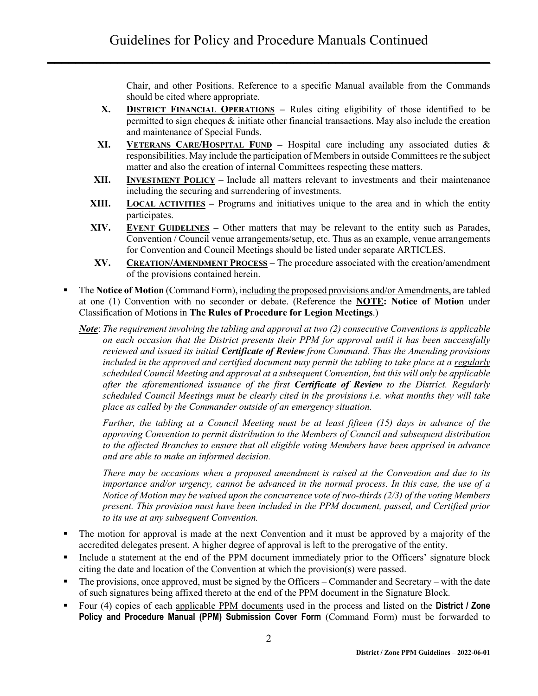Chair, and other Positions. Reference to a specific Manual available from the Commands should be cited where appropriate.

- **X. DISTRICT FINANCIAL OPERATIONS –** Rules citing eligibility of those identified to be permitted to sign cheques & initiate other financial transactions. May also include the creation and maintenance of Special Funds.
- **XI. VETERANS CARE/HOSPITAL FUND –** Hospital care including any associated duties & responsibilities. May include the participation of Members in outside Committees re the subject matter and also the creation of internal Committees respecting these matters.
- **XII. INVESTMENT POLICY –** Include all matters relevant to investments and their maintenance including the securing and surrendering of investments.
- **XIII. LOCAL ACTIVITIES –** Programs and initiatives unique to the area and in which the entity participates.
- **XIV. EVENT GUIDELINES –** Other matters that may be relevant to the entity such as Parades, Convention / Council venue arrangements/setup, etc. Thus as an example, venue arrangements for Convention and Council Meetings should be listed under separate ARTICLES.
- **XV. CREATION/AMENDMENT PROCESS –** The procedure associated with the creation/amendment of the provisions contained herein.
- The **Notice of Motion** (Command Form), including the proposed provisions and/or Amendments, are tabled at one (1) Convention with no seconder or debate. (Reference the **NOTE: Notice of Motio**n under Classification of Motions in **The Rules of Procedure for Legion Meetings**.)
	- *Note*: *The requirement involving the tabling and approval at two (2) consecutive Conventions is applicable on each occasion that the District presents their PPM for approval until it has been successfully reviewed and issued its initial Certificate of Review from Command. Thus the Amending provisions included in the approved and certified document may permit the tabling to take place at a regularly scheduled Council Meeting and approval at a subsequent Convention, but this will only be applicable after the aforementioned issuance of the first Certificate of Review to the District. Regularly scheduled Council Meetings must be clearly cited in the provisions i.e. what months they will take place as called by the Commander outside of an emergency situation.*

*Further, the tabling at a Council Meeting must be at least fifteen (15) days in advance of the approving Convention to permit distribution to the Members of Council and subsequent distribution to the affected Branches to ensure that all eligible voting Members have been apprised in advance and are able to make an informed decision.*

*There may be occasions when a proposed amendment is raised at the Convention and due to its importance and/or urgency, cannot be advanced in the normal process. In this case, the use of a Notice of Motion may be waived upon the concurrence vote of two-thirds (2/3) of the voting Members present. This provision must have been included in the PPM document, passed, and Certified prior to its use at any subsequent Convention.*

- The motion for approval is made at the next Convention and it must be approved by a majority of the accredited delegates present. A higher degree of approval is left to the prerogative of the entity.
- Include a statement at the end of the PPM document immediately prior to the Officers' signature block citing the date and location of the Convention at which the provision(s) were passed.
- The provisions, once approved, must be signed by the Officers Commander and Secretary with the date of such signatures being affixed thereto at the end of the PPM document in the Signature Block.
- Four (4) copies of each applicable PPM documents used in the process and listed on the **District / Zone Policy and Procedure Manual (PPM) Submission Cover Form** (Command Form) must be forwarded to